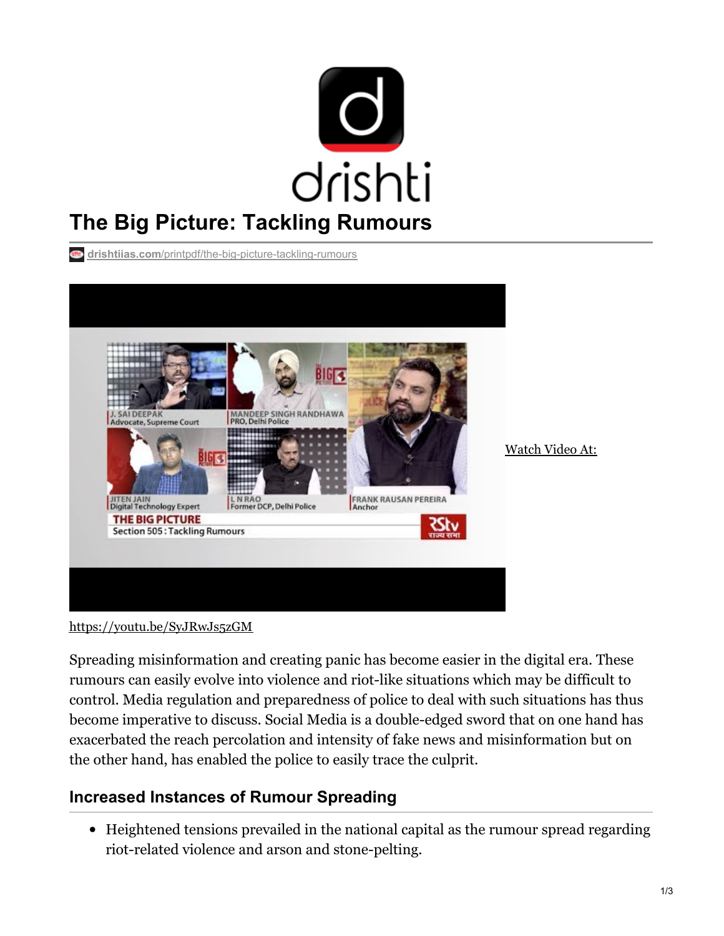

**drishtiias.com**[/printpdf/the-big-picture-tackling-rumours](https://www.drishtiias.com/printpdf/the-big-picture-tackling-rumours)



<https://youtu.be/SyJRwJs5zGM>

Spreading misinformation and creating panic has become easier in the digital era. These rumours can easily evolve into violence and riot-like situations which may be difficult to control. Media regulation and preparedness of police to deal with such situations has thus become imperative to discuss. Social Media is a double-edged sword that on one hand has exacerbated the reach percolation and intensity of fake news and misinformation but on the other hand, has enabled the police to easily trace the culprit.

## **Increased Instances of Rumour Spreading**

Heightened tensions prevailed in the national capital as the rumour spread regarding riot-related violence and arson and stone-pelting.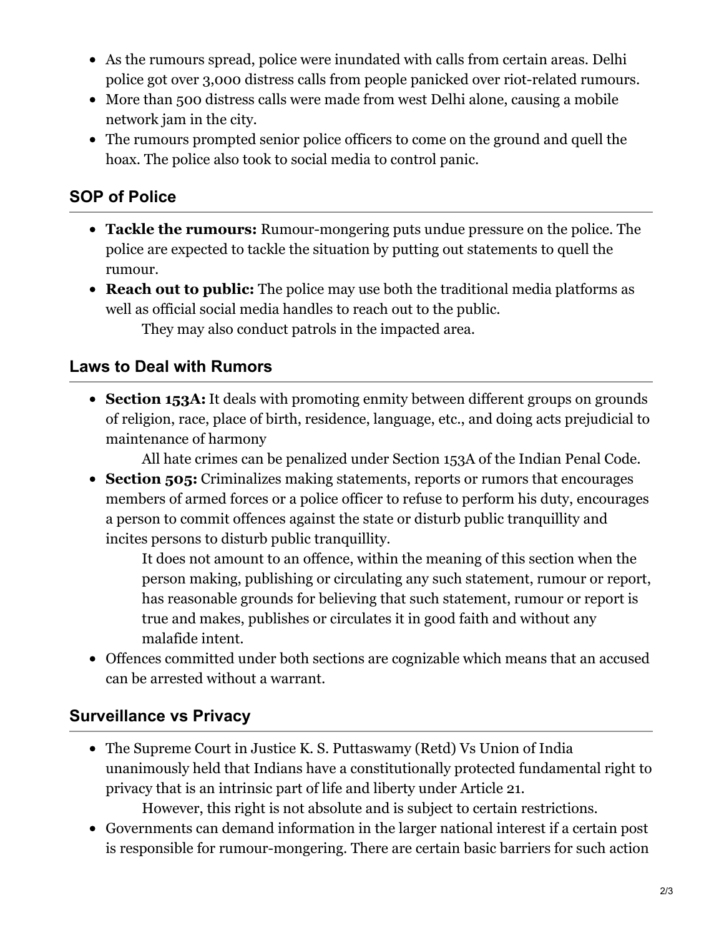- As the rumours spread, police were inundated with calls from certain areas. Delhi police got over 3,000 distress calls from people panicked over riot-related rumours.
- More than 500 distress calls were made from west Delhi alone, causing a mobile network jam in the city.
- The rumours prompted senior police officers to come on the ground and quell the hoax. The police also took to social media to control panic.

### **SOP of Police**

- **Tackle the rumours:** Rumour-mongering puts undue pressure on the police. The police are expected to tackle the situation by putting out statements to quell the rumour.
- **Reach out to public:** The police may use both the traditional media platforms as well as official social media handles to reach out to the public. They may also conduct patrols in the impacted area.

#### **Laws to Deal with Rumors**

**Section 153A:** It deals with promoting enmity between different groups on grounds of religion, race, place of birth, residence, language, etc., and doing acts prejudicial to maintenance of harmony

All hate crimes can be penalized under Section 153A of the Indian Penal Code.

**Section 505:** Criminalizes making statements, reports or rumors that encourages members of armed forces or a police officer to refuse to perform his duty, encourages a person to commit offences against the state or disturb public tranquillity and incites persons to disturb public tranquillity.

It does not amount to an offence, within the meaning of this section when the person making, publishing or circulating any such statement, rumour or report, has reasonable grounds for believing that such statement, rumour or report is true and makes, publishes or circulates it in good faith and without any malafide intent.

Offences committed under both sections are cognizable which means that an accused can be arrested without a warrant.

#### **Surveillance vs Privacy**

• The Supreme Court in Justice K. S. Puttaswamy (Retd) Vs Union of India unanimously held that Indians have a constitutionally protected fundamental right to privacy that is an intrinsic part of life and liberty under Article 21.

However, this right is not absolute and is subject to certain restrictions.

Governments can demand information in the larger national interest if a certain post is responsible for rumour-mongering. There are certain basic barriers for such action